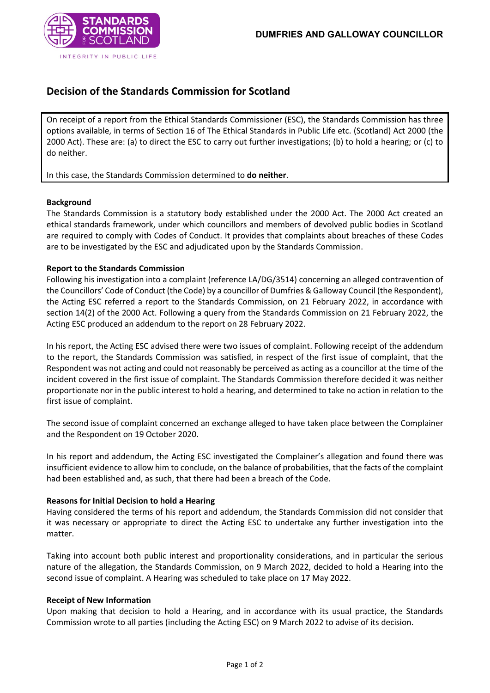

# **Decision of the Standards Commission for Scotland**

On receipt of a report from the Ethical Standards Commissioner (ESC), the Standards Commission has three options available, in terms of Section 16 of The Ethical Standards in Public Life etc. (Scotland) Act 2000 (the 2000 Act). These are: (a) to direct the ESC to carry out further investigations; (b) to hold a hearing; or (c) to do neither.

In this case, the Standards Commission determined to **do neither**.

### **Background**

The Standards Commission is a statutory body established under the 2000 Act. The 2000 Act created an ethical standards framework, under which councillors and members of devolved public bodies in Scotland are required to comply with Codes of Conduct. It provides that complaints about breaches of these Codes are to be investigated by the ESC and adjudicated upon by the Standards Commission.

## **Report to the Standards Commission**

Following his investigation into a complaint (reference LA/DG/3514) concerning an alleged contravention of the Councillors' Code of Conduct (the Code) by a councillor of Dumfries & Galloway Council (the Respondent), the Acting ESC referred a report to the Standards Commission, on 21 February 2022, in accordance with section 14(2) of the 2000 Act. Following a query from the Standards Commission on 21 February 2022, the Acting ESC produced an addendum to the report on 28 February 2022.

In his report, the Acting ESC advised there were two issues of complaint. Following receipt of the addendum to the report, the Standards Commission was satisfied, in respect of the first issue of complaint, that the Respondent was not acting and could not reasonably be perceived as acting as a councillor at the time of the incident covered in the first issue of complaint. The Standards Commission therefore decided it was neither proportionate nor in the public interest to hold a hearing, and determined to take no action in relation to the first issue of complaint.

The second issue of complaint concerned an exchange alleged to have taken place between the Complainer and the Respondent on 19 October 2020.

In his report and addendum, the Acting ESC investigated the Complainer's allegation and found there was insufficient evidence to allow him to conclude, on the balance of probabilities, that the facts of the complaint had been established and, as such, that there had been a breach of the Code.

### **Reasons for Initial Decision to hold a Hearing**

Having considered the terms of his report and addendum, the Standards Commission did not consider that it was necessary or appropriate to direct the Acting ESC to undertake any further investigation into the matter.

Taking into account both public interest and proportionality considerations, and in particular the serious nature of the allegation, the Standards Commission, on 9 March 2022, decided to hold a Hearing into the second issue of complaint. A Hearing was scheduled to take place on 17 May 2022.

### **Receipt of New Information**

Upon making that decision to hold a Hearing, and in accordance with its usual practice, the Standards Commission wrote to all parties (including the Acting ESC) on 9 March 2022 to advise of its decision.